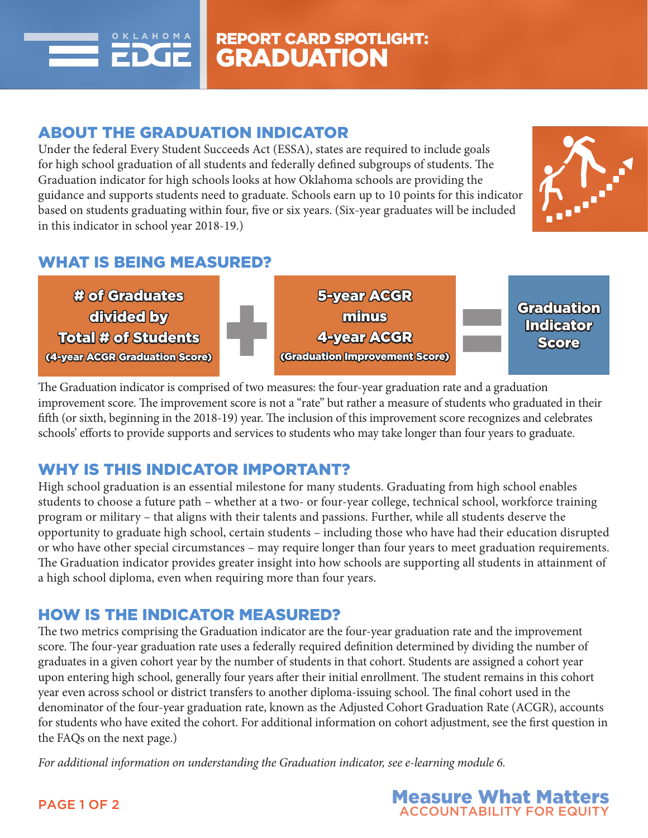

## ABOUT THE GRADUATION INDICATOR

Under the federal Every Student Succeeds Act (ESSA), states are required to include goals for high school graduation of all students and federally defined subgroups of students. The Graduation indicator for high schools looks at how Oklahoma schools are providing the guidance and supports students need to graduate. Schools earn up to 10 points for this indicator based on students graduating within four, five or six years. (Six-year graduates will be included in this indicator in school year 2018-19.)



### WHAT IS BEING MEASURED?



The Graduation indicator is comprised of two measures: the four-year graduation rate and a graduation improvement score. The improvement score is not a "rate" but rather a measure of students who graduated in their fifth (or sixth, beginning in the 2018-19) year. The inclusion of this improvement score recognizes and celebrates schools' efforts to provide supports and services to students who may take longer than four years to graduate.

### WHY IS THIS INDICATOR IMPORTANT?

High school graduation is an essential milestone for many students. Graduating from high school enables students to choose a future path – whether at a two- or four-year college, technical school, workforce training program or military – that aligns with their talents and passions. Further, while all students deserve the opportunity to graduate high school, certain students – including those who have had their education disrupted or who have other special circumstances – may require longer than four years to meet graduation requirements. The Graduation indicator provides greater insight into how schools are supporting all students in attainment of a high school diploma, even when requiring more than four years.

### HOW IS THE INDICATOR MEASURED?

The two metrics comprising the Graduation indicator are the four-year graduation rate and the improvement score. The four-year graduation rate uses a federally required definition determined by dividing the number of graduates in a given cohort year by the number of students in that cohort. Students are assigned a cohort year upon entering high school, generally four years after their initial enrollment. The student remains in this cohort year even across school or district transfers to another diploma-issuing school. The final cohort used in the denominator of the four-year graduation rate, known as the Adjusted Cohort Graduation Rate (ACGR), accounts for students who have exited the cohort. For additional information on cohort adjustment, see the first question in the FAQs on the next page.)

*For additional information on understanding the Graduation indicator, see e-learning module 6.*



PAGE 1 OF 2